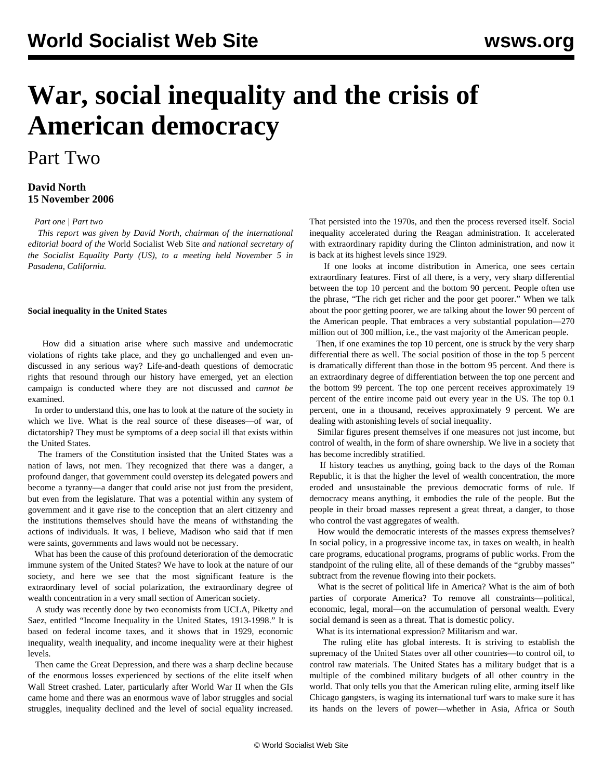# **War, social inequality and the crisis of American democracy**

## Part Two

### **David North 15 November 2006**

*[Part one](/en/articles/2006/11/dn1-n14.html) | [Part two](/en/articles/2006/11/dn2-n15.html)*

 *This report was given by David North, chairman of the international editorial board of the* World Socialist Web Site *and national secretary of the Socialist Equality Party (US), to a meeting held November 5 in Pasadena, California.*

#### **Social inequality in the United States**

 How did a situation arise where such massive and undemocratic violations of rights take place, and they go unchallenged and even undiscussed in any serious way? Life-and-death questions of democratic rights that resound through our history have emerged, yet an election campaign is conducted where they are not discussed and *cannot be* examined.

 In order to understand this, one has to look at the nature of the society in which we live. What is the real source of these diseases—of war, of dictatorship? They must be symptoms of a deep social ill that exists within the United States.

 The framers of the Constitution insisted that the United States was a nation of laws, not men. They recognized that there was a danger, a profound danger, that government could overstep its delegated powers and become a tyranny—a danger that could arise not just from the president, but even from the legislature. That was a potential within any system of government and it gave rise to the conception that an alert citizenry and the institutions themselves should have the means of withstanding the actions of individuals. It was, I believe, Madison who said that if men were saints, governments and laws would not be necessary.

 What has been the cause of this profound deterioration of the democratic immune system of the United States? We have to look at the nature of our society, and here we see that the most significant feature is the extraordinary level of social polarization, the extraordinary degree of wealth concentration in a very small section of American society.

 A study was recently done by two economists from UCLA, Piketty and Saez, entitled "Income Inequality in the United States, 1913-1998." It is based on federal income taxes, and it shows that in 1929, economic inequality, wealth inequality, and income inequality were at their highest levels.

 Then came the Great Depression, and there was a sharp decline because of the enormous losses experienced by sections of the elite itself when Wall Street crashed. Later, particularly after World War II when the GIs came home and there was an enormous wave of labor struggles and social struggles, inequality declined and the level of social equality increased. That persisted into the 1970s, and then the process reversed itself. Social inequality accelerated during the Reagan administration. It accelerated with extraordinary rapidity during the Clinton administration, and now it is back at its highest levels since 1929.

 If one looks at income distribution in America, one sees certain extraordinary features. First of all there, is a very, very sharp differential between the top 10 percent and the bottom 90 percent. People often use the phrase, "The rich get richer and the poor get poorer." When we talk about the poor getting poorer, we are talking about the lower 90 percent of the American people. That embraces a very substantial population—270 million out of 300 million, i.e., the vast majority of the American people.

 Then, if one examines the top 10 percent, one is struck by the very sharp differential there as well. The social position of those in the top 5 percent is dramatically different than those in the bottom 95 percent. And there is an extraordinary degree of differentiation between the top one percent and the bottom 99 percent. The top one percent receives approximately 19 percent of the entire income paid out every year in the US. The top 0.1 percent, one in a thousand, receives approximately 9 percent. We are dealing with astonishing levels of social inequality.

 Similar figures present themselves if one measures not just income, but control of wealth, in the form of share ownership. We live in a society that has become incredibly stratified.

 If history teaches us anything, going back to the days of the Roman Republic, it is that the higher the level of wealth concentration, the more eroded and unsustainable the previous democratic forms of rule. If democracy means anything, it embodies the rule of the people. But the people in their broad masses represent a great threat, a danger, to those who control the vast aggregates of wealth.

 How would the democratic interests of the masses express themselves? In social policy, in a progressive income tax, in taxes on wealth, in health care programs, educational programs, programs of public works. From the standpoint of the ruling elite, all of these demands of the "grubby masses" subtract from the revenue flowing into their pockets.

 What is the secret of political life in America? What is the aim of both parties of corporate America? To remove all constraints—political, economic, legal, moral—on the accumulation of personal wealth. Every social demand is seen as a threat. That is domestic policy.

What is its international expression? Militarism and war.

 The ruling elite has global interests. It is striving to establish the supremacy of the United States over all other countries—to control oil, to control raw materials. The United States has a military budget that is a multiple of the combined military budgets of all other country in the world. That only tells you that the American ruling elite, arming itself like Chicago gangsters, is waging its international turf wars to make sure it has its hands on the levers of power—whether in Asia, Africa or South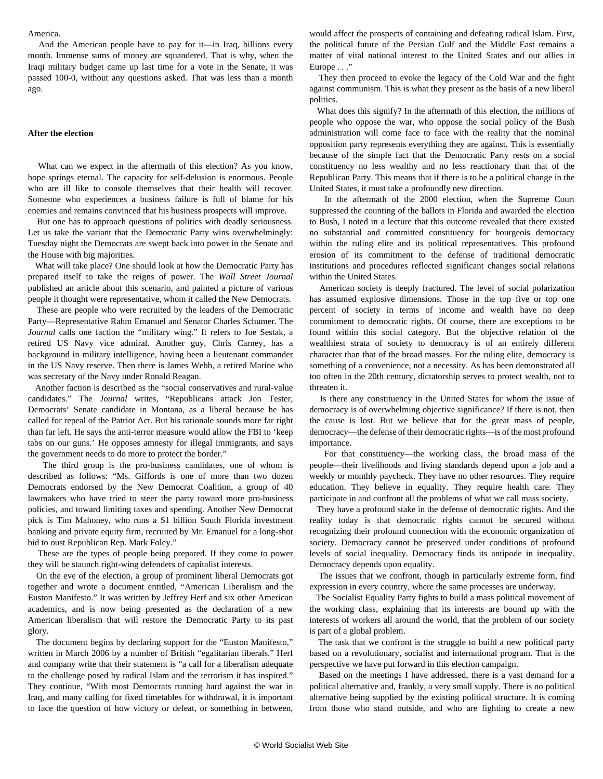#### America.

 And the American people have to pay for it—in Iraq, billions every month. Immense sums of money are squandered. That is why, when the Iraqi military budget came up last time for a vote in the Senate, it was passed 100-0, without any questions asked. That was less than a month ago.

#### **After the election**

 What can we expect in the aftermath of this election? As you know, hope springs eternal. The capacity for self-delusion is enormous. People who are ill like to console themselves that their health will recover. Someone who experiences a business failure is full of blame for his enemies and remains convinced that his business prospects will improve.

 But one has to approach questions of politics with deadly seriousness. Let us take the variant that the Democratic Party wins overwhelmingly: Tuesday night the Democrats are swept back into power in the Senate and the House with big majorities.

 What will take place? One should look at how the Democratic Party has prepared itself to take the reigns of power. The *Wall Street Journal* published an article about this scenario, and painted a picture of various people it thought were representative, whom it called the New Democrats.

 These are people who were recruited by the leaders of the Democratic Party—Representative Rahm Emanuel and Senator Charles Schumer. The *Journal* calls one faction the "military wing." It refers to Joe Sestak, a retired US Navy vice admiral. Another guy, Chris Carney, has a background in military intelligence, having been a lieutenant commander in the US Navy reserve. Then there is James Webb, a retired Marine who was secretary of the Navy under Ronald Reagan.

 Another faction is described as the "social conservatives and rural-value candidates." The *Journal* writes, "Republicans attack Jon Tester, Democrats' Senate candidate in Montana, as a liberal because he has called for repeal of the Patriot Act. But his rationale sounds more far right than far left. He says the anti-terror measure would allow the FBI to 'keep tabs on our guns.' He opposes amnesty for illegal immigrants, and says the government needs to do more to protect the border."

 The third group is the pro-business candidates, one of whom is described as follows: "Ms. Giffords is one of more than two dozen Democrats endorsed by the New Democrat Coalition, a group of 40 lawmakers who have tried to steer the party toward more pro-business policies, and toward limiting taxes and spending. Another New Democrat pick is Tim Mahoney, who runs a \$1 billion South Florida investment banking and private equity firm, recruited by Mr. Emanuel for a long-shot bid to oust Republican Rep. Mark Foley."

 These are the types of people being prepared. If they come to power they will be staunch right-wing defenders of capitalist interests.

 On the eve of the election, a group of prominent liberal Democrats got together and wrote a document entitled, "American Liberalism and the Euston Manifesto." It was written by Jeffrey Herf and six other American academics, and is now being presented as the declaration of a new American liberalism that will restore the Democratic Party to its past glory.

 The document begins by declaring support for the "Euston Manifesto," written in March 2006 by a number of British "egalitarian liberals." Herf and company write that their statement is "a call for a liberalism adequate to the challenge posed by radical Islam and the terrorism it has inspired." They continue, "With most Democrats running hard against the war in Iraq, and many calling for fixed timetables for withdrawal, it is important to face the question of how victory or defeat, or something in between,

would affect the prospects of containing and defeating radical Islam. First, the political future of the Persian Gulf and the Middle East remains a matter of vital national interest to the United States and our allies in Europe . . ."

 They then proceed to evoke the legacy of the Cold War and the fight against communism. This is what they present as the basis of a new liberal politics.

 What does this signify? In the aftermath of this election, the millions of people who oppose the war, who oppose the social policy of the Bush administration will come face to face with the reality that the nominal opposition party represents everything they are against. This is essentially because of the simple fact that the Democratic Party rests on a social constituency no less wealthy and no less reactionary than that of the Republican Party. This means that if there is to be a political change in the United States, it must take a profoundly new direction.

 In the aftermath of the 2000 election, when the Supreme Court suppressed the counting of the ballots in Florida and awarded the election to Bush, I noted in a lecture that this outcome revealed that there existed no substantial and committed constituency for bourgeois democracy within the ruling elite and its political representatives. This profound erosion of its commitment to the defense of traditional democratic institutions and procedures reflected significant changes social relations within the United States.

 American society is deeply fractured. The level of social polarization has assumed explosive dimensions. Those in the top five or top one percent of society in terms of income and wealth have no deep commitment to democratic rights. Of course, there are exceptions to be found within this social category. But the objective relation of the wealthiest strata of society to democracy is of an entirely different character than that of the broad masses. For the ruling elite, democracy is something of a convenience, not a necessity. As has been demonstrated all too often in the 20th century, dictatorship serves to protect wealth, not to threaten it.

 Is there any constituency in the United States for whom the issue of democracy is of overwhelming objective significance? If there is not, then the cause is lost. But we believe that for the great mass of people, democracy—the defense of their democratic rights—is of the most profound importance.

 For that constituency—the working class, the broad mass of the people—their livelihoods and living standards depend upon a job and a weekly or monthly paycheck. They have no other resources. They require education. They believe in equality. They require health care. They participate in and confront all the problems of what we call mass society.

 They have a profound stake in the defense of democratic rights. And the reality today is that democratic rights cannot be secured without recognizing their profound connection with the economic organization of society. Democracy cannot be preserved under conditions of profound levels of social inequality. Democracy finds its antipode in inequality. Democracy depends upon equality.

 The issues that we confront, though in particularly extreme form, find expression in every country, where the same processes are underway.

 The Socialist Equality Party fights to build a mass political movement of the working class, explaining that its interests are bound up with the interests of workers all around the world, that the problem of our society is part of a global problem.

 The task that we confront is the struggle to build a new political party based on a revolutionary, socialist and international program. That is the perspective we have put forward in this election campaign.

 Based on the meetings I have addressed, there is a vast demand for a political alternative and, frankly, a very small supply. There is no political alternative being supplied by the existing political structure. It is coming from those who stand outside, and who are fighting to create a new